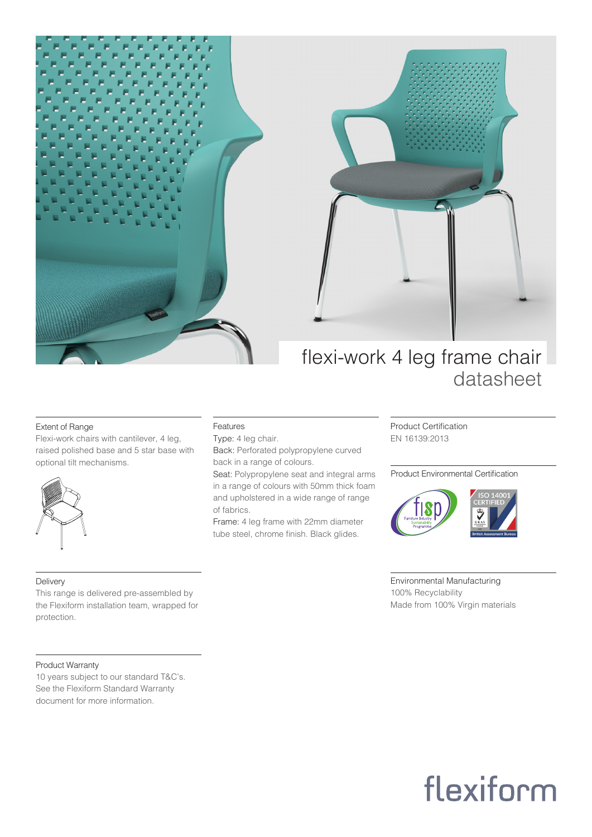



### flexi-work 4 leg frame chair datasheet

### Extent of Range

Flexi-work chairs with cantilever, 4 leg, raised polished base and 5 star base with optional tilt mechanisms.



Delivery

protection.

### Features

Type: 4 leg chair. Back: Perforated polypropylene curved back in a range of colours.

Seat: Polypropylene seat and integral arms in a range of colours with 50mm thick foam and upholstered in a wide range of range of fabrics.

Frame: 4 leg frame with 22mm diameter tube steel, chrome finish. Black glides.

Product Certification EN 16139:2013

### Product Environmental Certification



Environmental Manufacturing 100% Recyclability Made from 100% Virgin materials

### Product Warranty

10 years subject to our standard T&C's. See the Flexiform Standard Warranty document for more information.

This range is delivered pre-assembled by the Flexiform installation team, wrapped for

## flexiform